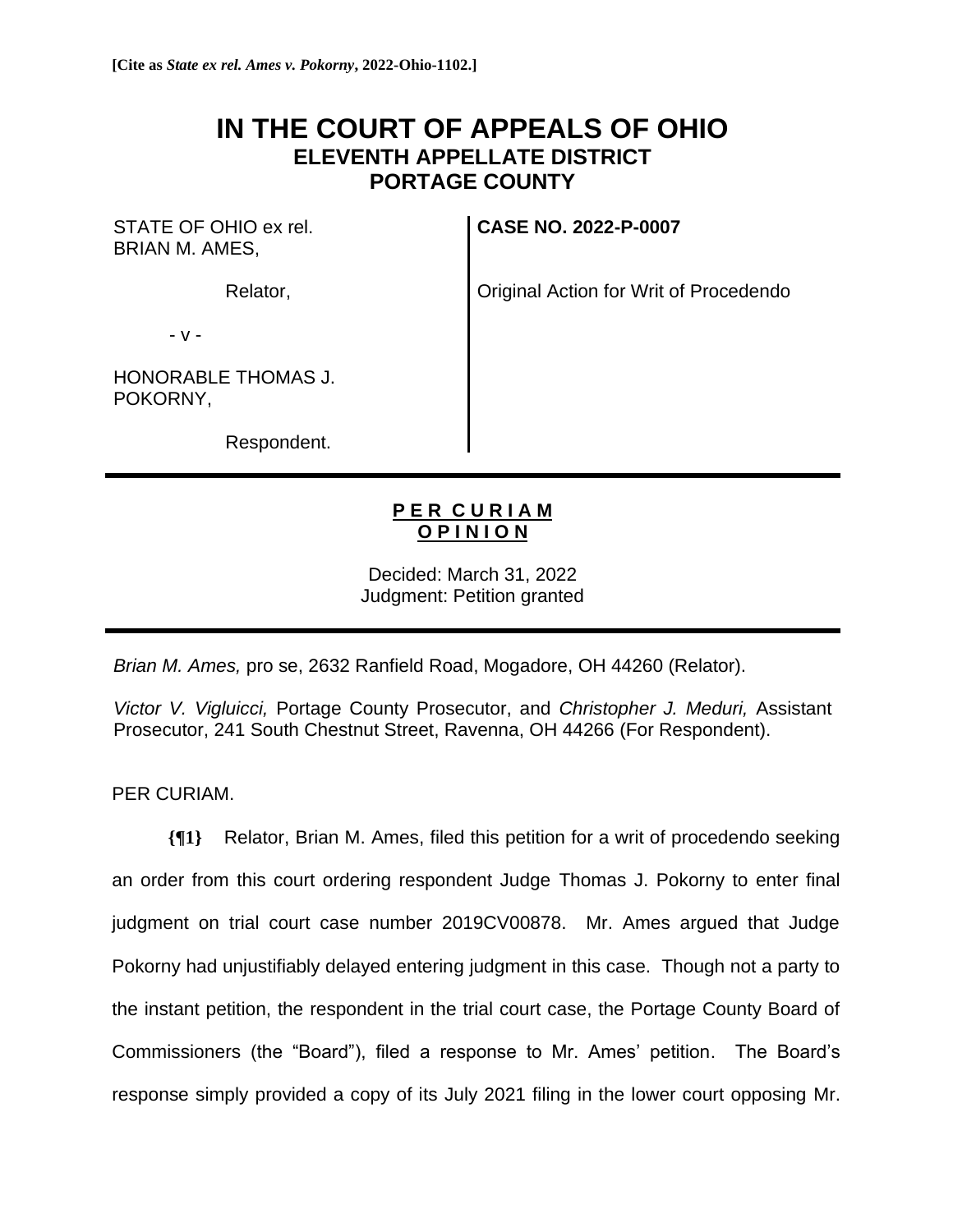## **IN THE COURT OF APPEALS OF OHIO ELEVENTH APPELLATE DISTRICT PORTAGE COUNTY**

STATE OF OHIO ex rel. BRIAN M. AMES,

Relator,

**CASE NO. 2022-P-0007**

Original Action for Writ of Procedendo

- v -

HONORABLE THOMAS J. POKORNY,

Respondent.

## **P E R C U R I A M O P I N I O N**

Decided: March 31, 2022 Judgment: Petition granted

*Brian M. Ames,* pro se, 2632 Ranfield Road, Mogadore, OH 44260 (Relator).

*Victor V. Vigluicci,* Portage County Prosecutor, and *Christopher J. Meduri,* Assistant Prosecutor, 241 South Chestnut Street, Ravenna, OH 44266 (For Respondent).

PER CURIAM.

**{¶1}** Relator, Brian M. Ames, filed this petition for a writ of procedendo seeking an order from this court ordering respondent Judge Thomas J. Pokorny to enter final judgment on trial court case number 2019CV00878. Mr. Ames argued that Judge Pokorny had unjustifiably delayed entering judgment in this case. Though not a party to the instant petition, the respondent in the trial court case, the Portage County Board of Commissioners (the "Board"), filed a response to Mr. Ames' petition. The Board's response simply provided a copy of its July 2021 filing in the lower court opposing Mr.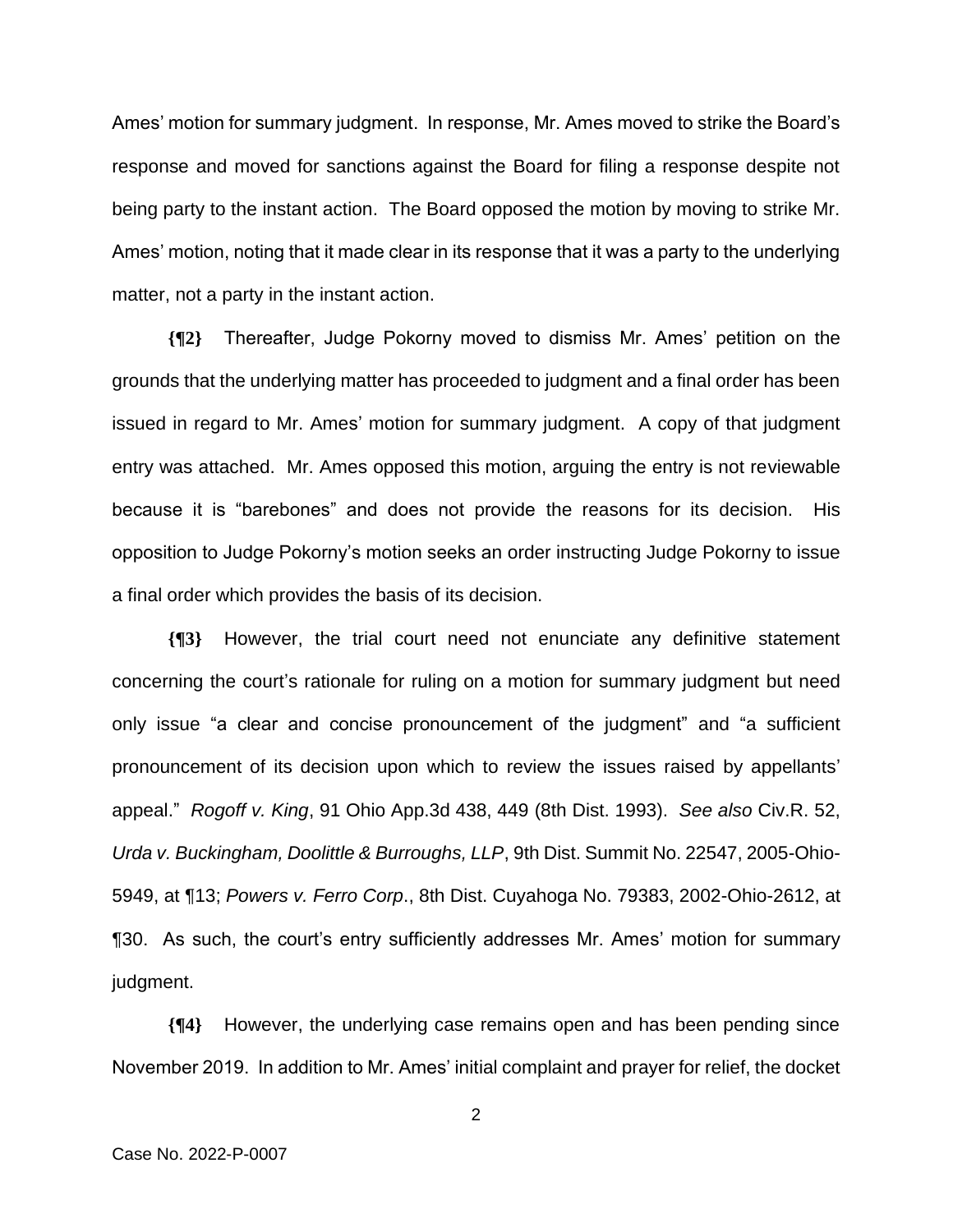Ames' motion for summary judgment. In response, Mr. Ames moved to strike the Board's response and moved for sanctions against the Board for filing a response despite not being party to the instant action. The Board opposed the motion by moving to strike Mr. Ames' motion, noting that it made clear in its response that it was a party to the underlying matter, not a party in the instant action.

**{¶2}** Thereafter, Judge Pokorny moved to dismiss Mr. Ames' petition on the grounds that the underlying matter has proceeded to judgment and a final order has been issued in regard to Mr. Ames' motion for summary judgment. A copy of that judgment entry was attached. Mr. Ames opposed this motion, arguing the entry is not reviewable because it is "barebones" and does not provide the reasons for its decision. His opposition to Judge Pokorny's motion seeks an order instructing Judge Pokorny to issue a final order which provides the basis of its decision.

**{¶3}** However, the trial court need not enunciate any definitive statement concerning the court's rationale for ruling on a motion for summary judgment but need only issue "a clear and concise pronouncement of the judgment" and "a sufficient pronouncement of its decision upon which to review the issues raised by appellants' appeal." *Rogoff v. King*, 91 Ohio App.3d 438, 449 (8th Dist. 1993). *See also* Civ.R. 52, *Urda v. Buckingham, Doolittle & Burroughs, LLP*, 9th Dist. Summit No. 22547, 2005-Ohio-5949, at ¶13; *Powers v. Ferro Corp*., 8th Dist. Cuyahoga No. 79383, 2002-Ohio-2612, at ¶30. As such, the court's entry sufficiently addresses Mr. Ames' motion for summary judgment.

**{¶4}** However, the underlying case remains open and has been pending since November 2019. In addition to Mr. Ames' initial complaint and prayer for relief, the docket

2